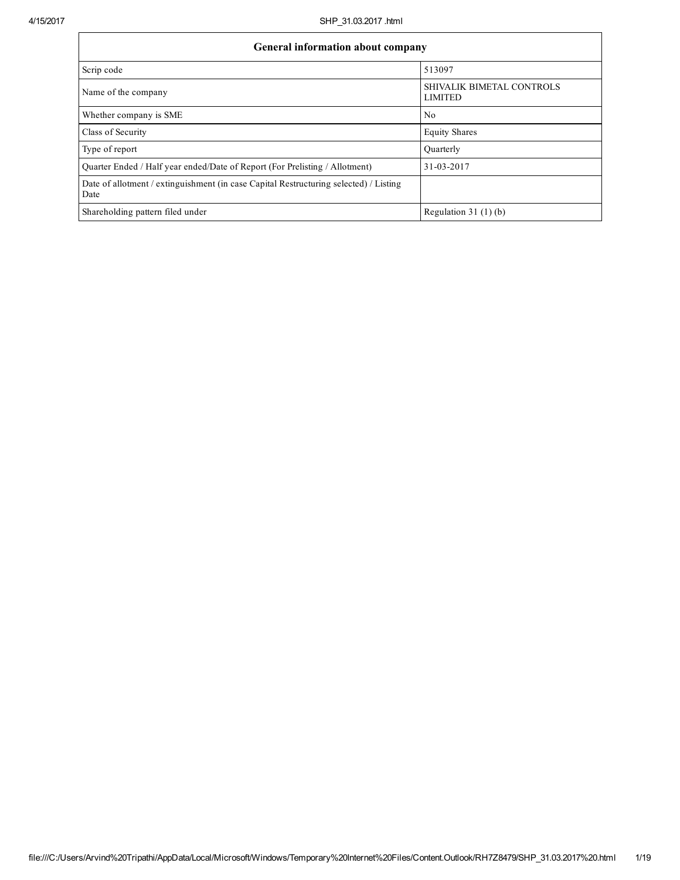| <b>General information about company</b>                                                      |                                             |  |  |  |  |  |  |  |
|-----------------------------------------------------------------------------------------------|---------------------------------------------|--|--|--|--|--|--|--|
| Scrip code                                                                                    | 513097                                      |  |  |  |  |  |  |  |
| Name of the company                                                                           | SHIVALIK BIMETAL CONTROLS<br><b>LIMITED</b> |  |  |  |  |  |  |  |
| Whether company is SME                                                                        | No                                          |  |  |  |  |  |  |  |
| Class of Security                                                                             | <b>Equity Shares</b>                        |  |  |  |  |  |  |  |
| Type of report                                                                                | Ouarterly                                   |  |  |  |  |  |  |  |
| Quarter Ended / Half year ended/Date of Report (For Prelisting / Allotment)                   | 31-03-2017                                  |  |  |  |  |  |  |  |
| Date of allotment / extinguishment (in case Capital Restructuring selected) / Listing<br>Date |                                             |  |  |  |  |  |  |  |
| Shareholding pattern filed under                                                              | Regulation $31(1)(b)$                       |  |  |  |  |  |  |  |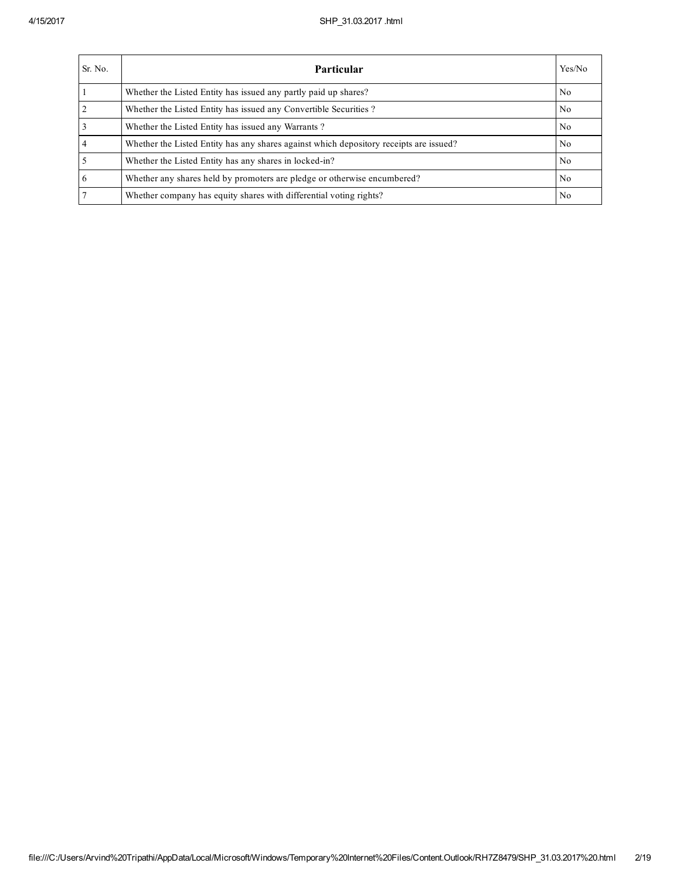| Sr. No.        | <b>Particular</b>                                                                      | Yes/No         |
|----------------|----------------------------------------------------------------------------------------|----------------|
|                | Whether the Listed Entity has issued any partly paid up shares?                        | N <sub>0</sub> |
| $\overline{2}$ | Whether the Listed Entity has issued any Convertible Securities?                       | N <sub>0</sub> |
| 3              | Whether the Listed Entity has issued any Warrants?                                     | N <sub>0</sub> |
| $\overline{4}$ | Whether the Listed Entity has any shares against which depository receipts are issued? | N <sub>0</sub> |
|                | Whether the Listed Entity has any shares in locked-in?                                 | N <sub>0</sub> |
| 6              | Whether any shares held by promoters are pledge or otherwise encumbered?               | N <sub>0</sub> |
|                | Whether company has equity shares with differential voting rights?                     | No             |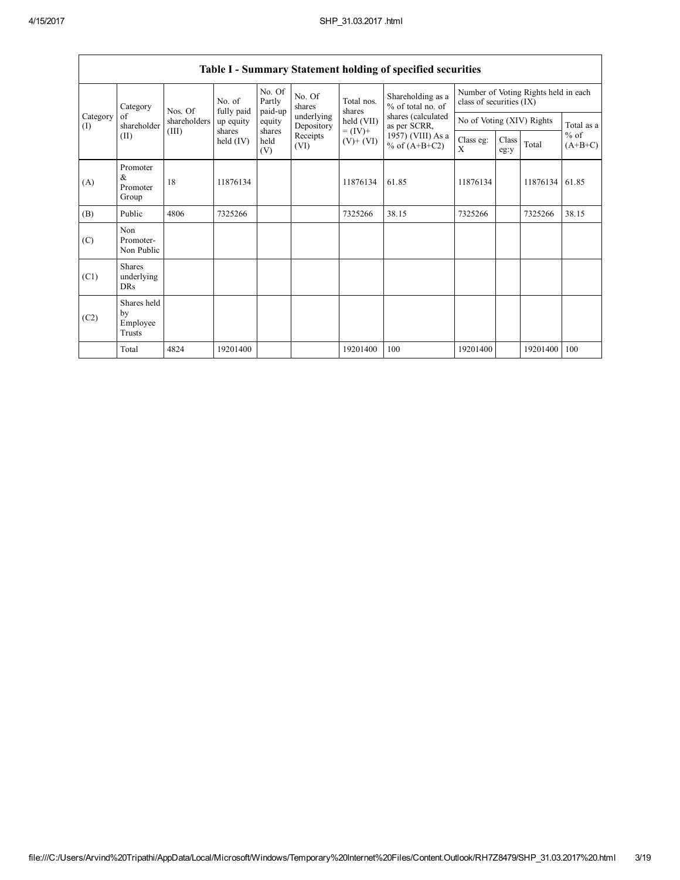| Category<br>Category<br>of<br>(I)<br>(II) |                                           | Nos. Of      | No. of                  | No. Of<br>Partly      | No. Of<br>shares         | Total nos.                   | Shareholding as a<br>% of total no. of                                     | Number of Voting Rights held in each<br>class of securities (IX) |               |          |                     |  |
|-------------------------------------------|-------------------------------------------|--------------|-------------------------|-----------------------|--------------------------|------------------------------|----------------------------------------------------------------------------|------------------------------------------------------------------|---------------|----------|---------------------|--|
|                                           | shareholder                               | shareholders | fully paid<br>up equity | paid-up<br>equity     | underlying<br>Depository | shares<br>held (VII)         | shares (calculated<br>as per SCRR,<br>1957) (VIII) As a<br>% of $(A+B+C2)$ | No of Voting (XIV) Rights                                        |               |          | Total as a          |  |
|                                           |                                           | (III)        | shares<br>held $(IV)$   | shares<br>held<br>(V) | Receipts<br>(VI)         | $= (IV) +$<br>$(V)$ + $(VI)$ |                                                                            | Class eg:<br>X                                                   | Class<br>eg:y | Total    | $%$ of<br>$(A+B+C)$ |  |
| (A)                                       | Promoter<br>$\&$<br>Promoter<br>Group     | 18           | 11876134                |                       |                          | 11876134                     | 61.85                                                                      | 11876134                                                         |               | 11876134 | 61.85               |  |
| (B)                                       | Public                                    | 4806         | 7325266                 |                       |                          | 7325266                      | 38.15                                                                      | 7325266                                                          |               | 7325266  | 38.15               |  |
| (C)                                       | Non<br>Promoter-<br>Non Public            |              |                         |                       |                          |                              |                                                                            |                                                                  |               |          |                     |  |
| (C1)                                      | <b>Shares</b><br>underlying<br><b>DRs</b> |              |                         |                       |                          |                              |                                                                            |                                                                  |               |          |                     |  |
| (C2)                                      | Shares held<br>by<br>Employee<br>Trusts   |              |                         |                       |                          |                              |                                                                            |                                                                  |               |          |                     |  |
|                                           | Total                                     | 4824         | 19201400                |                       |                          | 19201400                     | 100                                                                        | 19201400                                                         |               | 19201400 | 100                 |  |

## Table I - Summary Statement holding of specified securities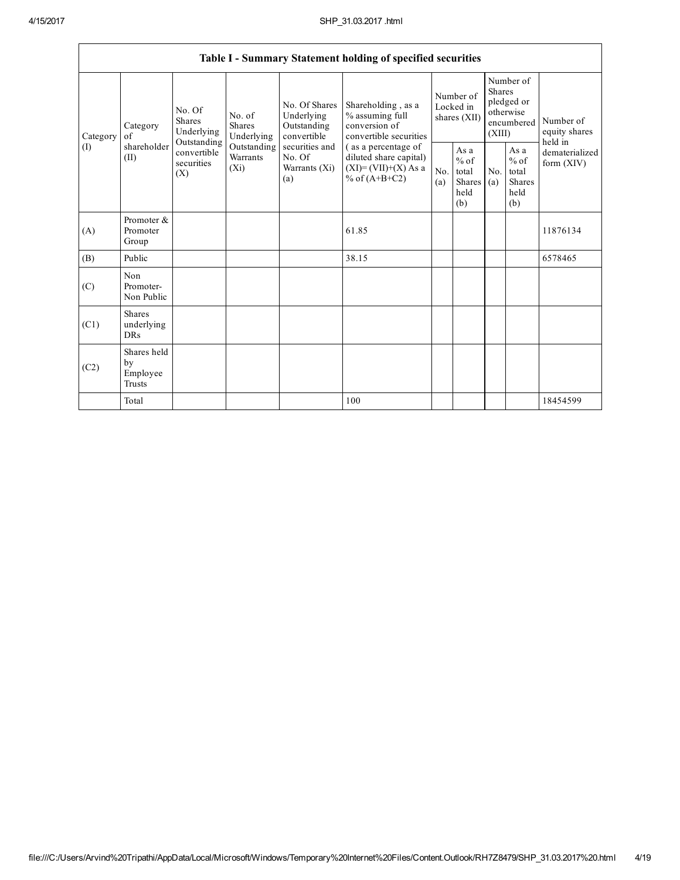|                 |                                                |                                                                                                                                                                         |                                                  |                                                                                           | Table I - Summary Statement holding of specified securities                      |                                                  |            |                                                                               |                                |                                       |
|-----------------|------------------------------------------------|-------------------------------------------------------------------------------------------------------------------------------------------------------------------------|--------------------------------------------------|-------------------------------------------------------------------------------------------|----------------------------------------------------------------------------------|--------------------------------------------------|------------|-------------------------------------------------------------------------------|--------------------------------|---------------------------------------|
| Category<br>(I) | Category<br>of<br>shareholder<br>(II)          | No. Of<br>No. of<br><b>Shares</b><br><b>Shares</b><br>Underlying<br>Underlying<br>Outstanding<br>Outstanding<br>convertible<br>Warrants<br>securities<br>$(X_i)$<br>(X) |                                                  | No. Of Shares<br>Underlying<br>Outstanding<br>convertible                                 | Shareholding, as a<br>% assuming full<br>conversion of<br>convertible securities | Number of<br>Locked in<br>shares (XII)           |            | Number of<br><b>Shares</b><br>pledged or<br>otherwise<br>encumbered<br>(XIII) |                                | Number of<br>equity shares<br>held in |
|                 |                                                |                                                                                                                                                                         | securities and<br>No. Of<br>Warrants (Xi)<br>(a) | (as a percentage of<br>diluted share capital)<br>$(XI)=(VII)+(X) As a$<br>% of $(A+B+C2)$ | No.<br>(a)                                                                       | As a<br>$%$ of<br>total<br>Shares<br>held<br>(b) | No.<br>(a) | As a<br>$%$ of<br>total<br><b>Shares</b><br>held<br>(b)                       | dematerialized<br>form $(XIV)$ |                                       |
| (A)             | Promoter &<br>Promoter<br>Group                |                                                                                                                                                                         |                                                  |                                                                                           | 61.85                                                                            |                                                  |            |                                                                               |                                | 11876134                              |
| (B)             | Public                                         |                                                                                                                                                                         |                                                  |                                                                                           | 38.15                                                                            |                                                  |            |                                                                               |                                | 6578465                               |
| (C)             | Non<br>Promoter-<br>Non Public                 |                                                                                                                                                                         |                                                  |                                                                                           |                                                                                  |                                                  |            |                                                                               |                                |                                       |
| (C1)            | <b>Shares</b><br>underlying<br><b>DRs</b>      |                                                                                                                                                                         |                                                  |                                                                                           |                                                                                  |                                                  |            |                                                                               |                                |                                       |
| (C2)            | Shares held<br>by<br>Employee<br><b>Trusts</b> |                                                                                                                                                                         |                                                  |                                                                                           |                                                                                  |                                                  |            |                                                                               |                                |                                       |
|                 | Total                                          |                                                                                                                                                                         |                                                  |                                                                                           | 100                                                                              |                                                  |            |                                                                               |                                | 18454599                              |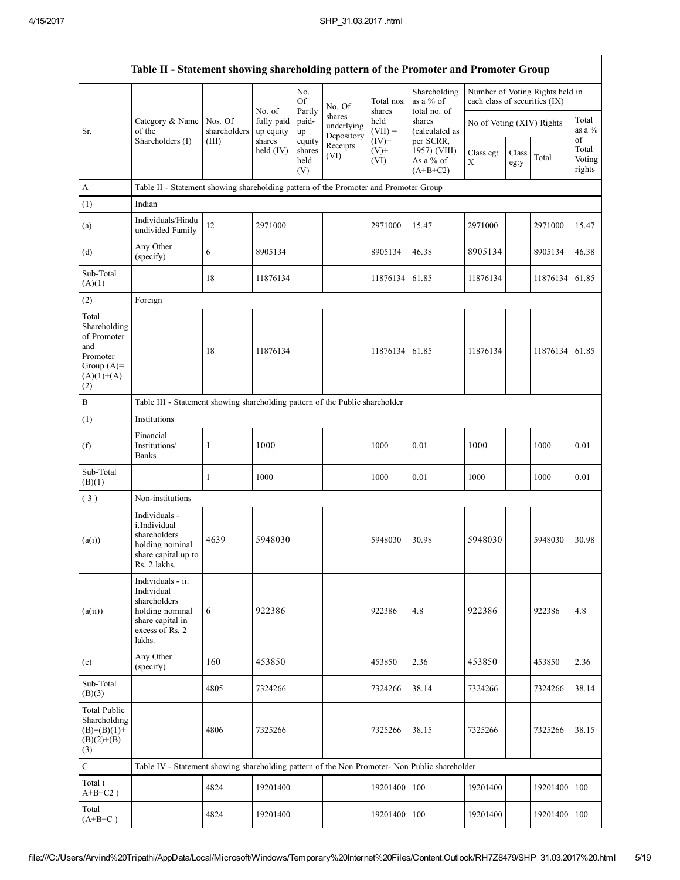|                                                                                                |                                                                                                                     |                         |                                   | No.<br><b>Of</b>                |                                              | Total nos.                  | Shareholding<br>as a % of                            | each class of securities (IX) |               | Number of Voting Rights held in |                                 |
|------------------------------------------------------------------------------------------------|---------------------------------------------------------------------------------------------------------------------|-------------------------|-----------------------------------|---------------------------------|----------------------------------------------|-----------------------------|------------------------------------------------------|-------------------------------|---------------|---------------------------------|---------------------------------|
| Sr.                                                                                            | Category & Name<br>of the                                                                                           | Nos. Of<br>shareholders | No. of<br>fully paid<br>up equity | Partly<br>paid-<br>up           | No. Of<br>shares<br>underlying<br>Depository | shares<br>held<br>$(VII) =$ | total no. of<br>shares<br>(calculated as             | No of Voting (XIV) Rights     |               |                                 | Total<br>as a $%$               |
|                                                                                                | Shareholders (I)                                                                                                    | (III)                   | shares<br>held (IV)               | equity<br>shares<br>held<br>(V) | Receipts<br>(VI)                             | $(IV)+$<br>$(V)$ +<br>(VI)  | per SCRR,<br>1957) (VIII)<br>As a % of<br>$(A+B+C2)$ | Class eg:<br>X                | Class<br>eg:y | Total                           | of<br>Total<br>Voting<br>rights |
| A                                                                                              | Table II - Statement showing shareholding pattern of the Promoter and Promoter Group                                |                         |                                   |                                 |                                              |                             |                                                      |                               |               |                                 |                                 |
| (1)                                                                                            | Indian                                                                                                              |                         |                                   |                                 |                                              |                             |                                                      |                               |               |                                 |                                 |
| (a)                                                                                            | Individuals/Hindu<br>undivided Family                                                                               | 12                      | 2971000                           |                                 |                                              | 2971000                     | 15.47                                                | 2971000                       |               | 2971000                         | 15.47                           |
| (d)                                                                                            | Any Other<br>(specify)                                                                                              | 6                       | 8905134                           |                                 |                                              | 8905134                     | 46.38                                                | 8905134                       |               | 8905134                         | 46.38                           |
| Sub-Total<br>(A)(1)                                                                            |                                                                                                                     | 18                      | 11876134                          |                                 |                                              | 11876134                    | 61.85                                                | 11876134                      |               | 11876134                        | 61.85                           |
| (2)                                                                                            | Foreign                                                                                                             |                         |                                   |                                 |                                              |                             |                                                      |                               |               |                                 |                                 |
| Total<br>Shareholding<br>of Promoter<br>and<br>Promoter<br>Group $(A)=$<br>$(A)(1)+(A)$<br>(2) |                                                                                                                     | 18                      | 11876134                          |                                 |                                              | 11876134                    | 61.85                                                | 11876134                      |               | 11876134                        | 61.85                           |
| $\, {\bf B}$                                                                                   | Table III - Statement showing shareholding pattern of the Public shareholder                                        |                         |                                   |                                 |                                              |                             |                                                      |                               |               |                                 |                                 |
| (1)                                                                                            | Institutions                                                                                                        |                         |                                   |                                 |                                              |                             |                                                      |                               |               |                                 |                                 |
| (f)                                                                                            | Financial<br>Institutions/<br><b>Banks</b>                                                                          | 1                       | 1000                              |                                 |                                              | 1000                        | 0.01                                                 | 1000                          |               | 1000                            | 0.01                            |
| Sub-Total<br>(B)(1)                                                                            |                                                                                                                     | $\mathbf{1}$            | 1000                              |                                 |                                              | 1000                        | 0.01                                                 | 1000                          |               | 1000                            | 0.01                            |
| (3)                                                                                            | Non-institutions                                                                                                    |                         |                                   |                                 |                                              |                             |                                                      |                               |               |                                 |                                 |
| (a(i))                                                                                         | Individuals -<br>i.Individual<br>shareholders<br>holding nominal<br>share capital up to<br>Rs. 2 lakhs.             | 4639                    | 5948030                           |                                 |                                              | 5948030                     | 30.98                                                | 5948030                       |               | 5948030                         | 30.98                           |
| (a(ii))                                                                                        | Individuals - ii.<br>Individual<br>shareholders<br>holding nominal<br>share capital in<br>excess of Rs. 2<br>lakhs. | 6                       | 922386                            |                                 |                                              | 922386                      | 4.8                                                  | 922386                        |               | 922386                          | 4.8                             |
| (e)                                                                                            | Any Other<br>(specify)                                                                                              | 160                     | 453850                            |                                 |                                              | 453850                      | 2.36                                                 | 453850                        |               | 453850                          | 2.36                            |
| Sub-Total<br>(B)(3)                                                                            |                                                                                                                     | 4805                    | 7324266                           |                                 |                                              | 7324266                     | 38.14                                                | 7324266                       |               | 7324266                         | 38.14                           |
| <b>Total Public</b><br>Shareholding<br>$(B)=(B)(1)+$<br>$(B)(2)+(B)$<br>(3)                    |                                                                                                                     | 4806                    | 7325266                           |                                 |                                              | 7325266                     | 38.15                                                | 7325266                       |               | 7325266                         | 38.15                           |
| $\mathbf C$                                                                                    | Table IV - Statement showing shareholding pattern of the Non Promoter- Non Public shareholder                       |                         |                                   |                                 |                                              |                             |                                                      |                               |               |                                 |                                 |
| Total (<br>$A+B+C2$ )                                                                          |                                                                                                                     | 4824                    | 19201400                          |                                 |                                              | 19201400                    | 100                                                  | 19201400                      |               | 19201400                        | 100                             |
| Total<br>$(A+B+C)$                                                                             |                                                                                                                     | 4824                    | 19201400                          |                                 |                                              | 19201400                    | 100                                                  | 19201400                      |               | 19201400                        | 100                             |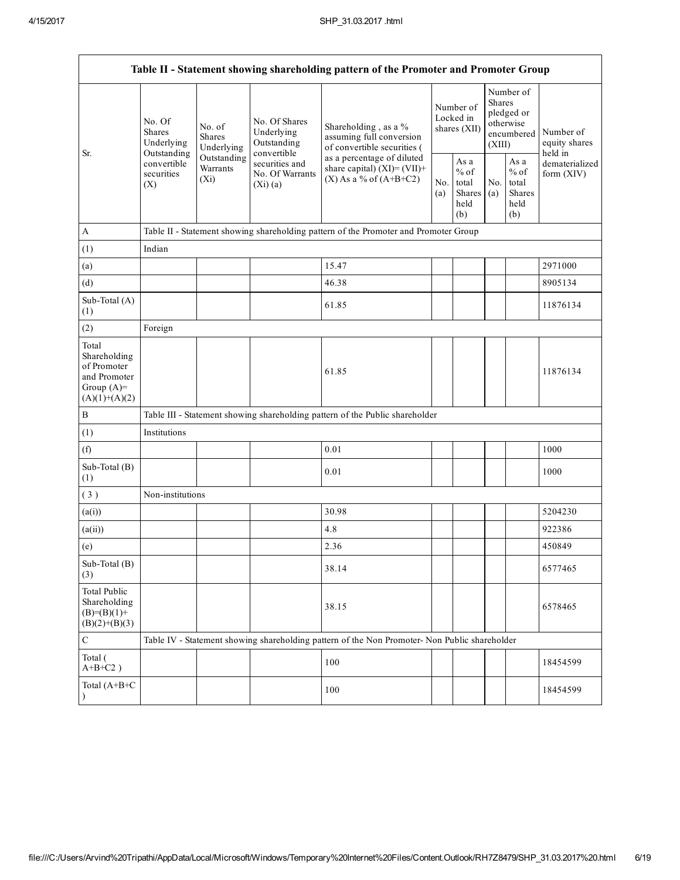| Table II - Statement showing shareholding pattern of the Promoter and Promoter Group    |                                                 |                                       |                                                           |                                                                                               |            |                                                  |            |                                                                               |                                                         |  |  |
|-----------------------------------------------------------------------------------------|-------------------------------------------------|---------------------------------------|-----------------------------------------------------------|-----------------------------------------------------------------------------------------------|------------|--------------------------------------------------|------------|-------------------------------------------------------------------------------|---------------------------------------------------------|--|--|
| Sr.                                                                                     | No. Of<br><b>Shares</b><br>Underlying           | No. of<br><b>Shares</b><br>Underlying | No. Of Shares<br>Underlying<br>Outstanding<br>convertible | Shareholding, as a %<br>assuming full conversion<br>of convertible securities (               |            | Number of<br>Locked in<br>shares (XII)           |            | Number of<br><b>Shares</b><br>pledged or<br>otherwise<br>encumbered<br>(XIII) | Number of<br>equity shares<br>held in<br>dematerialized |  |  |
|                                                                                         | Outstanding<br>convertible<br>securities<br>(X) | Outstanding<br>Warrants<br>$(X_i)$    | securities and<br>No. Of Warrants<br>(Xi)(a)              | as a percentage of diluted<br>share capital) $(XI) = (VII) +$<br>$(X)$ As a % of $(A+B+C2)$   | No.<br>(a) | As a<br>$%$ of<br>total<br>Shares<br>held<br>(b) | No.<br>(a) | As a<br>$%$ of<br>total<br>Shares<br>held<br>(b)                              | form (XIV)                                              |  |  |
| A                                                                                       |                                                 |                                       |                                                           | Table II - Statement showing shareholding pattern of the Promoter and Promoter Group          |            |                                                  |            |                                                                               |                                                         |  |  |
| (1)                                                                                     | Indian                                          |                                       |                                                           |                                                                                               |            |                                                  |            |                                                                               |                                                         |  |  |
| (a)                                                                                     |                                                 |                                       |                                                           | 15.47                                                                                         |            |                                                  |            |                                                                               | 2971000                                                 |  |  |
| (d)                                                                                     |                                                 |                                       |                                                           | 46.38                                                                                         |            |                                                  |            |                                                                               | 8905134                                                 |  |  |
| Sub-Total (A)<br>(1)                                                                    |                                                 |                                       |                                                           | 61.85                                                                                         |            |                                                  |            |                                                                               | 11876134                                                |  |  |
| (2)                                                                                     | Foreign                                         |                                       |                                                           |                                                                                               |            |                                                  |            |                                                                               |                                                         |  |  |
| Total<br>Shareholding<br>of Promoter<br>and Promoter<br>Group $(A)=$<br>$(A)(1)+(A)(2)$ |                                                 |                                       |                                                           | 61.85                                                                                         |            |                                                  |            |                                                                               | 11876134                                                |  |  |
| B                                                                                       |                                                 |                                       |                                                           | Table III - Statement showing shareholding pattern of the Public shareholder                  |            |                                                  |            |                                                                               |                                                         |  |  |
| (1)                                                                                     | Institutions                                    |                                       |                                                           |                                                                                               |            |                                                  |            |                                                                               |                                                         |  |  |
| (f)                                                                                     |                                                 |                                       |                                                           | 0.01                                                                                          |            |                                                  |            |                                                                               | 1000                                                    |  |  |
| Sub-Total (B)<br>(1)                                                                    |                                                 |                                       |                                                           | 0.01                                                                                          |            |                                                  |            |                                                                               | 1000                                                    |  |  |
| (3)                                                                                     | Non-institutions                                |                                       |                                                           |                                                                                               |            |                                                  |            |                                                                               |                                                         |  |  |
| (a(i))                                                                                  |                                                 |                                       |                                                           | 30.98                                                                                         |            |                                                  |            |                                                                               | 5204230                                                 |  |  |
| (a(ii))                                                                                 |                                                 |                                       |                                                           | 4.8                                                                                           |            |                                                  |            |                                                                               | 922386                                                  |  |  |
| (e)                                                                                     |                                                 |                                       |                                                           | 2.36                                                                                          |            |                                                  |            |                                                                               | 450849                                                  |  |  |
| Sub-Total (B)<br>(3)                                                                    |                                                 |                                       |                                                           | 38.14                                                                                         |            |                                                  |            |                                                                               | 6577465                                                 |  |  |
| <b>Total Public</b><br>Shareholding<br>$(B)= (B)(1) +$<br>$(B)(2)+(B)(3)$               |                                                 |                                       |                                                           | 38.15                                                                                         |            |                                                  |            |                                                                               | 6578465                                                 |  |  |
| ${\bf C}$                                                                               |                                                 |                                       |                                                           | Table IV - Statement showing shareholding pattern of the Non Promoter- Non Public shareholder |            |                                                  |            |                                                                               |                                                         |  |  |
| Total (<br>$A+B+C2$ )                                                                   |                                                 |                                       |                                                           | 100                                                                                           |            |                                                  |            |                                                                               | 18454599                                                |  |  |
| Total (A+B+C<br>$\lambda$                                                               |                                                 |                                       |                                                           | 100                                                                                           |            |                                                  |            |                                                                               | 18454599                                                |  |  |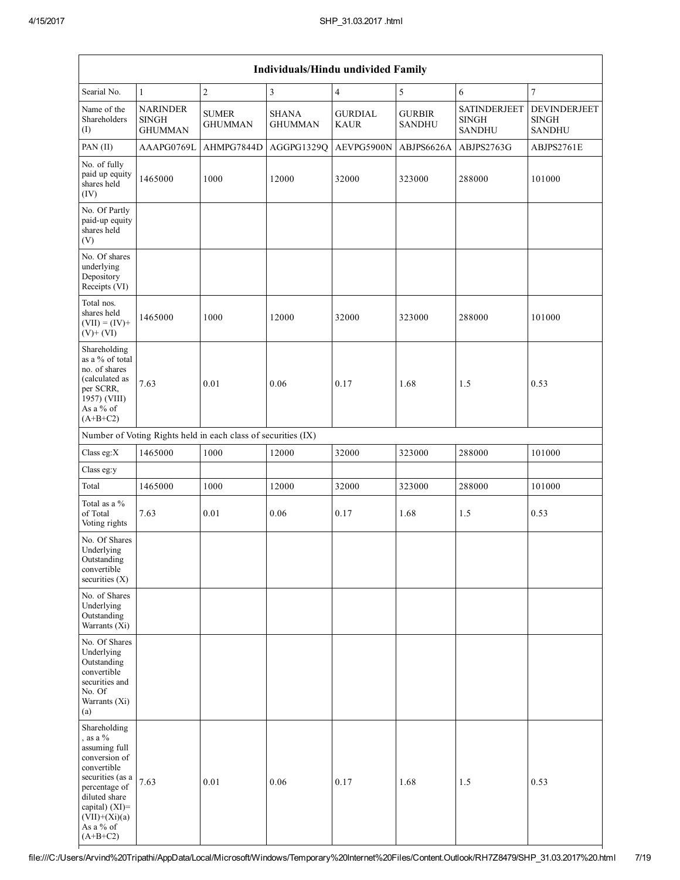| Individuals/Hindu undivided Family                                                                                                                                                                    |                                                   |                                                               |                                |                               |                                |                                                      |                                               |  |  |  |  |
|-------------------------------------------------------------------------------------------------------------------------------------------------------------------------------------------------------|---------------------------------------------------|---------------------------------------------------------------|--------------------------------|-------------------------------|--------------------------------|------------------------------------------------------|-----------------------------------------------|--|--|--|--|
| Searial No.                                                                                                                                                                                           | $\mathbf{1}$                                      | $\sqrt{2}$                                                    | $\mathfrak{Z}$                 | $\overline{4}$                | $\sqrt{5}$                     | 6                                                    | $\overline{7}$                                |  |  |  |  |
| Name of the<br>Shareholders<br>(1)                                                                                                                                                                    | <b>NARINDER</b><br><b>SINGH</b><br><b>GHUMMAN</b> | <b>SUMER</b><br><b>GHUMMAN</b>                                | <b>SHANA</b><br><b>GHUMMAN</b> | <b>GURDIAL</b><br><b>KAUR</b> | <b>GURBIR</b><br><b>SANDHU</b> | <b>SATINDERJEET</b><br><b>SINGH</b><br><b>SANDHU</b> | DEVINDERJEET<br><b>SINGH</b><br><b>SANDHU</b> |  |  |  |  |
| PAN (II)                                                                                                                                                                                              | AAAPG0769L                                        | AHMPG7844D                                                    | AGGPG1329Q                     | AEVPG5900N                    | ABJPS6626A                     | ABJPS2763G                                           | ABJPS2761E                                    |  |  |  |  |
| No. of fully<br>paid up equity<br>shares held<br>(IV)                                                                                                                                                 | 1465000                                           | 1000                                                          | 12000                          | 32000                         | 323000                         | 288000                                               | 101000                                        |  |  |  |  |
| No. Of Partly<br>paid-up equity<br>shares held<br>(V)                                                                                                                                                 |                                                   |                                                               |                                |                               |                                |                                                      |                                               |  |  |  |  |
| No. Of shares<br>underlying<br>Depository<br>Receipts (VI)                                                                                                                                            |                                                   |                                                               |                                |                               |                                |                                                      |                                               |  |  |  |  |
| Total nos.<br>shares held<br>$(VII) = (IV) +$<br>$(V)+(VI)$                                                                                                                                           | 1465000                                           | 1000                                                          | 12000                          | 32000                         | 323000                         | 288000                                               | 101000                                        |  |  |  |  |
| Shareholding<br>as a % of total<br>no. of shares<br>(calculated as<br>per SCRR,<br>1957) (VIII)<br>As a % of<br>$(A+B+C2)$                                                                            | 7.63                                              | 0.01                                                          | 0.06                           | 0.17                          | 1.68                           | 1.5                                                  | 0.53                                          |  |  |  |  |
|                                                                                                                                                                                                       |                                                   | Number of Voting Rights held in each class of securities (IX) |                                |                               |                                |                                                      |                                               |  |  |  |  |
| Class eg: $X$                                                                                                                                                                                         | 1465000                                           | 1000                                                          | 12000                          | 32000                         | 323000                         | 288000                                               | 101000                                        |  |  |  |  |
| Class eg:y                                                                                                                                                                                            |                                                   |                                                               |                                |                               |                                |                                                      |                                               |  |  |  |  |
| Total                                                                                                                                                                                                 | 1465000                                           | 1000                                                          | 12000                          | 32000                         | 323000                         | 288000                                               | 101000                                        |  |  |  |  |
| Total as a %<br>of Total<br>Voting rights                                                                                                                                                             | 7.63                                              | 0.01                                                          | 0.06                           | 0.17                          | 1.68                           | 1.5                                                  | 0.53                                          |  |  |  |  |
| No. Of Shares<br>Underlying<br>Outstanding<br>convertible<br>securities $(X)$                                                                                                                         |                                                   |                                                               |                                |                               |                                |                                                      |                                               |  |  |  |  |
| No. of Shares<br>Underlying<br>Outstanding<br>Warrants $(X_i)$                                                                                                                                        |                                                   |                                                               |                                |                               |                                |                                                      |                                               |  |  |  |  |
| No. Of Shares<br>Underlying<br>Outstanding<br>convertible<br>securities and<br>No. Of<br>Warrants (Xi)<br>(a)                                                                                         |                                                   |                                                               |                                |                               |                                |                                                      |                                               |  |  |  |  |
| Shareholding<br>, as a $\%$<br>assuming full<br>conversion of<br>convertible<br>securities (as a<br>percentage of<br>diluted share<br>capital) $(XI)$ =<br>$(VII)+(Xi)(a)$<br>As a % of<br>$(A+B+C2)$ | 7.63                                              | 0.01                                                          | 0.06                           | 0.17                          | 1.68                           | 1.5                                                  | 0.53                                          |  |  |  |  |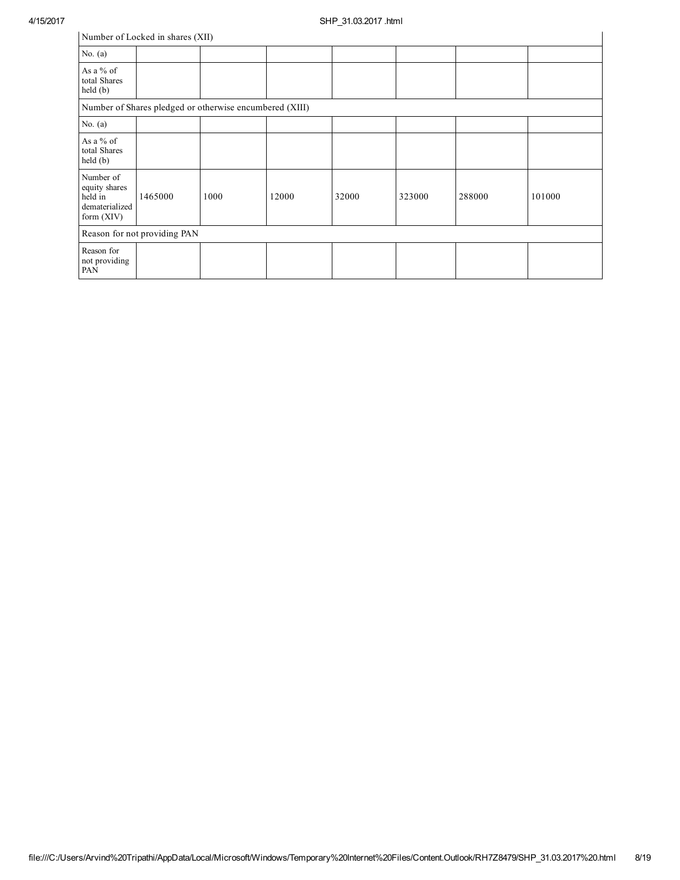|                                                                         | Number of Locked in shares (XII) |                                                         |       |       |        |        |        |
|-------------------------------------------------------------------------|----------------------------------|---------------------------------------------------------|-------|-------|--------|--------|--------|
| No. $(a)$                                                               |                                  |                                                         |       |       |        |        |        |
| As a % of<br>total Shares<br>held (b)                                   |                                  |                                                         |       |       |        |        |        |
|                                                                         |                                  | Number of Shares pledged or otherwise encumbered (XIII) |       |       |        |        |        |
| No. $(a)$                                                               |                                  |                                                         |       |       |        |        |        |
| As a % of<br>total Shares<br>held(b)                                    |                                  |                                                         |       |       |        |        |        |
| Number of<br>equity shares<br>held in<br>dematerialized<br>form $(XIV)$ | 1465000                          | 1000                                                    | 12000 | 32000 | 323000 | 288000 | 101000 |
|                                                                         | Reason for not providing PAN     |                                                         |       |       |        |        |        |
| Reason for<br>not providing<br>PAN                                      |                                  |                                                         |       |       |        |        |        |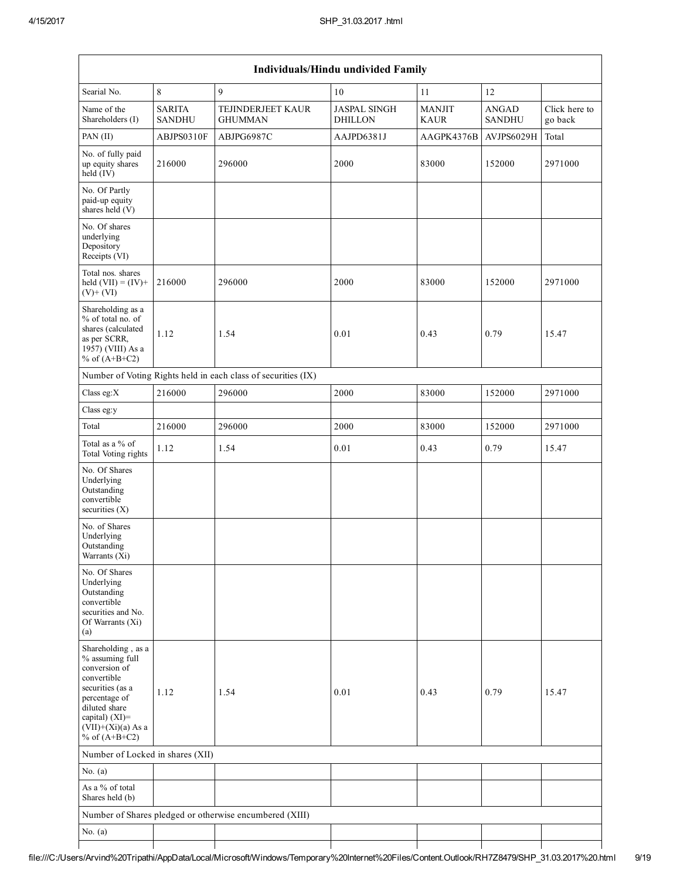|                                                                                                                                                                                          |                                |                                                               | Individuals/Hindu undivided Family    |                              |                               |                          |
|------------------------------------------------------------------------------------------------------------------------------------------------------------------------------------------|--------------------------------|---------------------------------------------------------------|---------------------------------------|------------------------------|-------------------------------|--------------------------|
| Searial No.                                                                                                                                                                              | $\,8\,$                        | $\mathbf{q}$                                                  | 10                                    | 11                           | 12                            |                          |
| Name of the<br>Shareholders (I)                                                                                                                                                          | <b>SARITA</b><br><b>SANDHU</b> | TEJINDERJEET KAUR<br><b>GHUMMAN</b>                           | <b>JASPAL SINGH</b><br><b>DHILLON</b> | <b>MANJIT</b><br><b>KAUR</b> | <b>ANGAD</b><br><b>SANDHU</b> | Click here to<br>go back |
| PAN (II)                                                                                                                                                                                 | ABJPS0310F                     | ABJPG6987C                                                    | AAJPD6381J                            | AAGPK4376B                   | AVJPS6029H                    | Total                    |
| No. of fully paid<br>up equity shares<br>$held$ (IV)                                                                                                                                     | 216000                         | 296000                                                        | 2000                                  | 83000                        | 152000                        | 2971000                  |
| No. Of Partly<br>paid-up equity<br>shares held (V)                                                                                                                                       |                                |                                                               |                                       |                              |                               |                          |
| No. Of shares<br>underlying<br>Depository<br>Receipts (VI)                                                                                                                               |                                |                                                               |                                       |                              |                               |                          |
| Total nos. shares<br>held $(VII) = (IV) +$<br>$(V)+(VI)$                                                                                                                                 | 216000                         | 296000                                                        | 2000                                  | 83000                        | 152000                        | 2971000                  |
| Shareholding as a<br>% of total no. of<br>shares (calculated<br>as per SCRR,<br>1957) (VIII) As a<br>% of $(A+B+C2)$                                                                     | 1.12                           | 1.54                                                          | 0.01                                  | 0.43                         | 0.79                          | 15.47                    |
|                                                                                                                                                                                          |                                | Number of Voting Rights held in each class of securities (IX) |                                       |                              |                               |                          |
| Class eg: $X$                                                                                                                                                                            | 216000                         | 296000                                                        | 2000                                  | 83000                        | 152000                        | 2971000                  |
| Class eg:y                                                                                                                                                                               |                                |                                                               |                                       |                              |                               |                          |
| Total                                                                                                                                                                                    | 216000                         | 296000                                                        | 2000                                  | 83000                        | 152000                        | 2971000                  |
| Total as a % of<br>Total Voting rights                                                                                                                                                   | 1.12                           | 1.54                                                          | $0.01\,$                              | 0.43                         | 0.79                          | 15.47                    |
| No. Of Shares<br>Underlying<br>Outstanding<br>convertible<br>securities $(X)$                                                                                                            |                                |                                                               |                                       |                              |                               |                          |
| No. of Shares<br>Underlying<br>Outstanding<br>Warrants (Xi)                                                                                                                              |                                |                                                               |                                       |                              |                               |                          |
| No. Of Shares<br>Underlying<br>Outstanding<br>convertible<br>securities and No.<br>Of Warrants (Xi)<br>(a)                                                                               |                                |                                                               |                                       |                              |                               |                          |
| Shareholding, as a<br>% assuming full<br>conversion of<br>convertible<br>securities (as a<br>percentage of<br>diluted share<br>capital) (XI)=<br>$(VII)+(Xi)(a)$ As a<br>% of $(A+B+C2)$ | 1.12                           | 1.54                                                          | 0.01                                  | 0.43                         | 0.79                          | 15.47                    |
| Number of Locked in shares (XII)                                                                                                                                                         |                                |                                                               |                                       |                              |                               |                          |
| No. $(a)$                                                                                                                                                                                |                                |                                                               |                                       |                              |                               |                          |
| As a % of total<br>Shares held (b)                                                                                                                                                       |                                |                                                               |                                       |                              |                               |                          |
|                                                                                                                                                                                          |                                | Number of Shares pledged or otherwise encumbered (XIII)       |                                       |                              |                               |                          |
| No. $(a)$                                                                                                                                                                                |                                |                                                               |                                       |                              |                               |                          |
|                                                                                                                                                                                          |                                |                                                               |                                       |                              |                               |                          |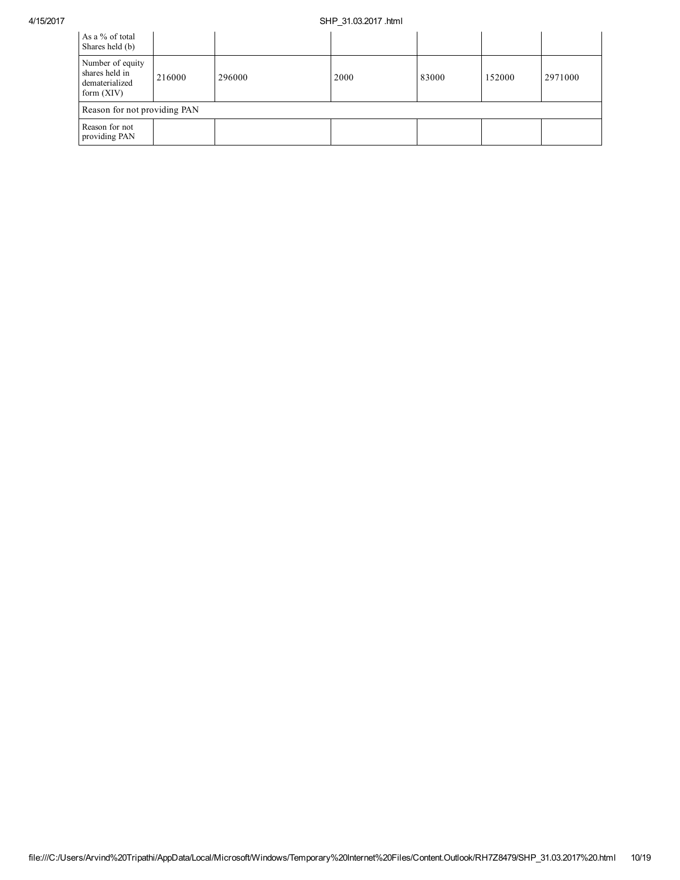## 4/15/2017 SHP\_31.03.2017 .html

| As a % of total<br>Shares held (b)                                   |        |        |      |       |        |         |
|----------------------------------------------------------------------|--------|--------|------|-------|--------|---------|
| Number of equity<br>shares held in<br>dematerialized<br>form $(XIV)$ | 216000 | 296000 | 2000 | 83000 | 152000 | 2971000 |
| Reason for not providing PAN                                         |        |        |      |       |        |         |
| Reason for not<br>providing PAN                                      |        |        |      |       |        |         |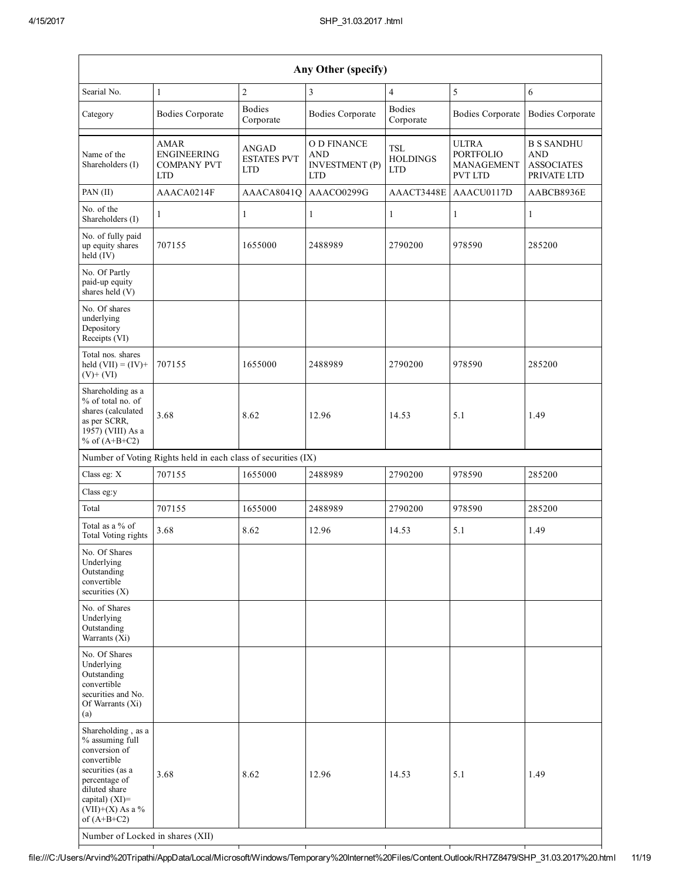| Any Other (specify)                                                                                                                                                                                                      |                                                                |                                           |                                                                         |                                             |                                                           |                                                                     |  |  |  |  |  |
|--------------------------------------------------------------------------------------------------------------------------------------------------------------------------------------------------------------------------|----------------------------------------------------------------|-------------------------------------------|-------------------------------------------------------------------------|---------------------------------------------|-----------------------------------------------------------|---------------------------------------------------------------------|--|--|--|--|--|
| Searial No.                                                                                                                                                                                                              | 1                                                              | $\overline{c}$                            | 3                                                                       | $\overline{4}$                              | 5                                                         | 6                                                                   |  |  |  |  |  |
| Category                                                                                                                                                                                                                 | <b>Bodies Corporate</b>                                        | <b>Bodies</b><br>Corporate                | <b>Bodies Corporate</b>                                                 | <b>Bodies</b><br>Corporate                  | <b>Bodies Corporate</b>                                   | <b>Bodies Corporate</b>                                             |  |  |  |  |  |
| Name of the<br>Shareholders (I)                                                                                                                                                                                          | AMAR<br><b>ENGINEERING</b><br><b>COMPANY PVT</b><br><b>LTD</b> | ANGAD<br><b>ESTATES PVT</b><br><b>LTD</b> | <b>O D FINANCE</b><br><b>AND</b><br><b>INVESTMENT</b> (P)<br><b>LTD</b> | <b>TSL</b><br><b>HOLDINGS</b><br><b>LTD</b> | <b>ULTRA</b><br><b>PORTFOLIO</b><br>MANAGEMENT<br>PVT LTD | <b>B S SANDHU</b><br><b>AND</b><br><b>ASSOCIATES</b><br>PRIVATE LTD |  |  |  |  |  |
| PAN (II)                                                                                                                                                                                                                 | AAACA0214F                                                     | AAACA8041Q                                | AAACO0299G                                                              | AAACT3448E                                  | AAACU0117D                                                | AABCB8936E                                                          |  |  |  |  |  |
| No. of the<br>Shareholders (I)                                                                                                                                                                                           | 1                                                              | $\mathbf{1}$                              | 1                                                                       | $\mathbf{1}$                                | 1                                                         | $\mathbf{1}$                                                        |  |  |  |  |  |
| No. of fully paid<br>up equity shares<br>held (IV)                                                                                                                                                                       | 707155                                                         | 1655000                                   | 2488989                                                                 | 2790200                                     | 978590                                                    | 285200                                                              |  |  |  |  |  |
| No. Of Partly<br>paid-up equity<br>shares held (V)                                                                                                                                                                       |                                                                |                                           |                                                                         |                                             |                                                           |                                                                     |  |  |  |  |  |
| No. Of shares<br>underlying<br>Depository<br>Receipts (VI)                                                                                                                                                               |                                                                |                                           |                                                                         |                                             |                                                           |                                                                     |  |  |  |  |  |
| Total nos. shares<br>held $(VII) = (IV) +$<br>$(V)+(VI)$                                                                                                                                                                 | 707155                                                         | 1655000                                   | 2488989                                                                 | 2790200                                     | 978590                                                    | 285200                                                              |  |  |  |  |  |
| Shareholding as a<br>% of total no. of<br>shares (calculated<br>as per SCRR,<br>1957) (VIII) As a<br>% of $(A+B+C2)$                                                                                                     | 3.68                                                           | 8.62                                      | 12.96                                                                   | 14.53                                       | 5.1                                                       | 1.49                                                                |  |  |  |  |  |
|                                                                                                                                                                                                                          | Number of Voting Rights held in each class of securities (IX)  |                                           |                                                                         |                                             |                                                           |                                                                     |  |  |  |  |  |
| Class eg: X                                                                                                                                                                                                              | 707155                                                         | 1655000                                   | 2488989                                                                 | 2790200                                     | 978590                                                    | 285200                                                              |  |  |  |  |  |
| Class eg:y                                                                                                                                                                                                               |                                                                |                                           |                                                                         |                                             |                                                           |                                                                     |  |  |  |  |  |
| Total                                                                                                                                                                                                                    | 707155                                                         | 1655000                                   | 2488989                                                                 | 2790200                                     | 978590                                                    | 285200                                                              |  |  |  |  |  |
| Total as a % of<br>Total Voting rights                                                                                                                                                                                   | 3.68                                                           | 8.62                                      | 12.96                                                                   | 14.53                                       | 5.1                                                       | 1.49                                                                |  |  |  |  |  |
| No. Of Shares<br>Underlying<br>Outstanding<br>convertible<br>securities $(X)$                                                                                                                                            |                                                                |                                           |                                                                         |                                             |                                                           |                                                                     |  |  |  |  |  |
| No. of Shares<br>Underlying<br>Outstanding<br>Warrants (Xi)                                                                                                                                                              |                                                                |                                           |                                                                         |                                             |                                                           |                                                                     |  |  |  |  |  |
| No. Of Shares<br>Underlying<br>Outstanding<br>convertible<br>securities and No.<br>Of Warrants (Xi)<br>(a)                                                                                                               |                                                                |                                           |                                                                         |                                             |                                                           |                                                                     |  |  |  |  |  |
| Shareholding, as a<br>% assuming full<br>conversion of<br>convertible<br>securities (as a<br>percentage of<br>diluted share<br>capital) (XI)=<br>$(VII)+(X)$ As a %<br>of $(A+B+C2)$<br>Number of Locked in shares (XII) | 3.68                                                           | 8.62                                      | 12.96                                                                   | 14.53                                       | 5.1                                                       | 1.49                                                                |  |  |  |  |  |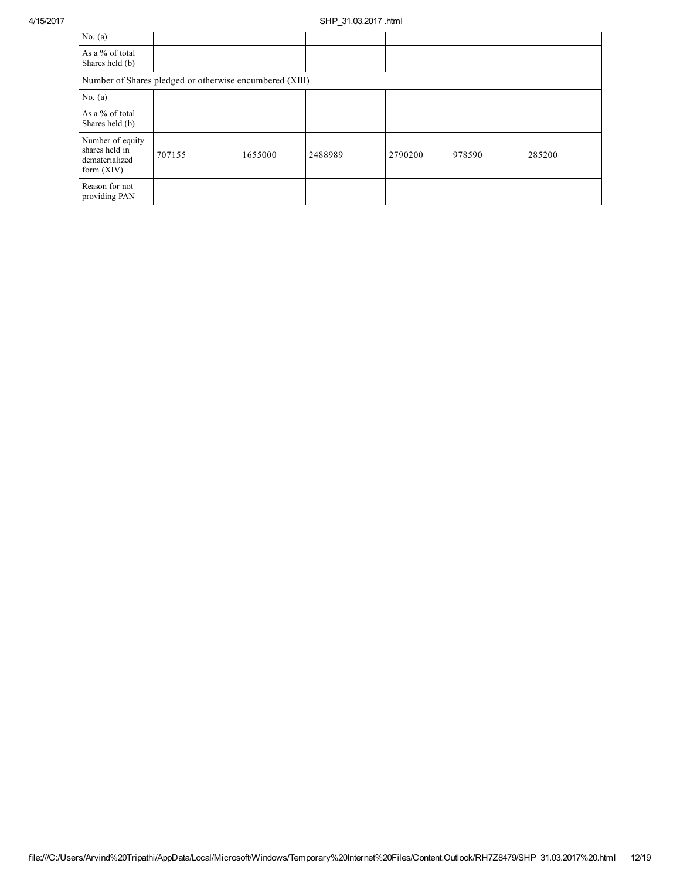## 4/15/2017 SHP\_31.03.2017 .html

| No. $(a)$                                                            |                                                         |         |         |         |        |        |
|----------------------------------------------------------------------|---------------------------------------------------------|---------|---------|---------|--------|--------|
| As a % of total<br>Shares held (b)                                   |                                                         |         |         |         |        |        |
|                                                                      | Number of Shares pledged or otherwise encumbered (XIII) |         |         |         |        |        |
| No. $(a)$                                                            |                                                         |         |         |         |        |        |
| As a % of total<br>Shares held (b)                                   |                                                         |         |         |         |        |        |
| Number of equity<br>shares held in<br>dematerialized<br>form $(XIV)$ | 707155                                                  | 1655000 | 2488989 | 2790200 | 978590 | 285200 |
| Reason for not<br>providing PAN                                      |                                                         |         |         |         |        |        |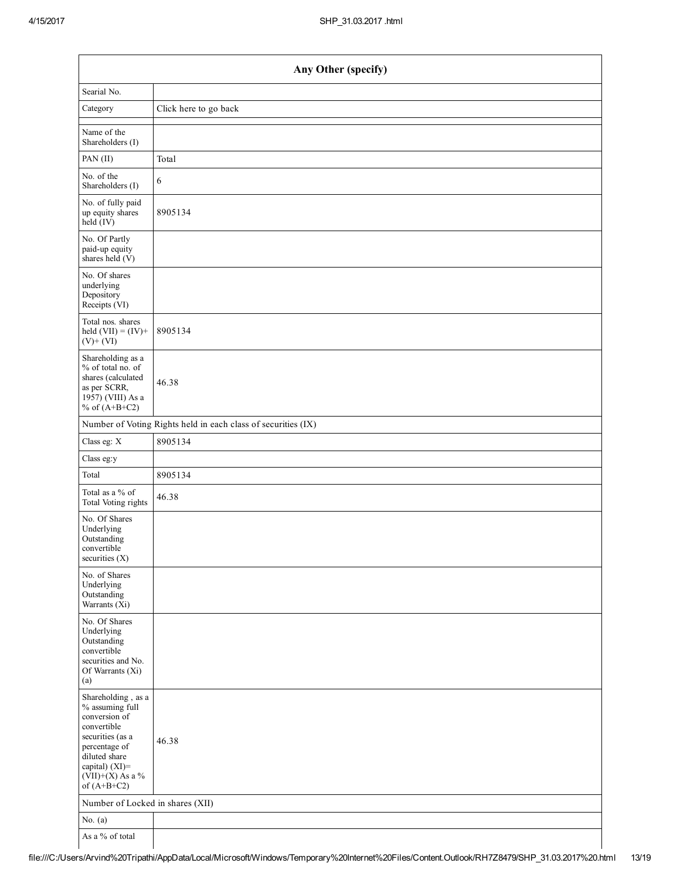| Any Other (specify)                                                                                                                                                                  |                                                               |  |  |  |  |
|--------------------------------------------------------------------------------------------------------------------------------------------------------------------------------------|---------------------------------------------------------------|--|--|--|--|
| Searial No.                                                                                                                                                                          |                                                               |  |  |  |  |
| Category                                                                                                                                                                             | Click here to go back                                         |  |  |  |  |
| Name of the<br>Shareholders (I)                                                                                                                                                      |                                                               |  |  |  |  |
| PAN (II)                                                                                                                                                                             | Total                                                         |  |  |  |  |
| No. of the<br>Shareholders (I)                                                                                                                                                       | 6                                                             |  |  |  |  |
| No. of fully paid<br>up equity shares<br>held (IV)                                                                                                                                   | 8905134                                                       |  |  |  |  |
| No. Of Partly<br>paid-up equity<br>shares held (V)                                                                                                                                   |                                                               |  |  |  |  |
| No. Of shares<br>underlying<br>Depository<br>Receipts (VI)                                                                                                                           |                                                               |  |  |  |  |
| Total nos. shares<br>held $(VII) = (IV) +$<br>$(V) + (VI)$                                                                                                                           | 8905134                                                       |  |  |  |  |
| Shareholding as a<br>% of total no. of<br>shares (calculated<br>as per SCRR,<br>1957) (VIII) As a<br>% of $(A+B+C2)$                                                                 | 46.38                                                         |  |  |  |  |
|                                                                                                                                                                                      | Number of Voting Rights held in each class of securities (IX) |  |  |  |  |
| Class eg: X                                                                                                                                                                          | 8905134                                                       |  |  |  |  |
| Class eg:y                                                                                                                                                                           |                                                               |  |  |  |  |
| Total                                                                                                                                                                                | 8905134                                                       |  |  |  |  |
| Total as a % of<br>Total Voting rights                                                                                                                                               | 46.38                                                         |  |  |  |  |
| No. Of Shares<br>Underlying<br>Outstanding<br>convertible<br>securities $(X)$                                                                                                        |                                                               |  |  |  |  |
| No. of Shares<br>Underlying<br>Outstanding<br>Warrants $(Xi)$                                                                                                                        |                                                               |  |  |  |  |
| No. Of Shares<br>Underlying<br>Outstanding<br>convertible<br>securities and No.<br>Of Warrants (Xi)<br>(a)                                                                           |                                                               |  |  |  |  |
| Shareholding, as a<br>% assuming full<br>conversion of<br>convertible<br>securities (as a<br>percentage of<br>diluted share<br>capital) (XI)=<br>$(VII)+(X)$ As a %<br>of $(A+B+C2)$ | 46.38                                                         |  |  |  |  |
| Number of Locked in shares (XII)                                                                                                                                                     |                                                               |  |  |  |  |
| No. $(a)$                                                                                                                                                                            |                                                               |  |  |  |  |
| As a % of total                                                                                                                                                                      |                                                               |  |  |  |  |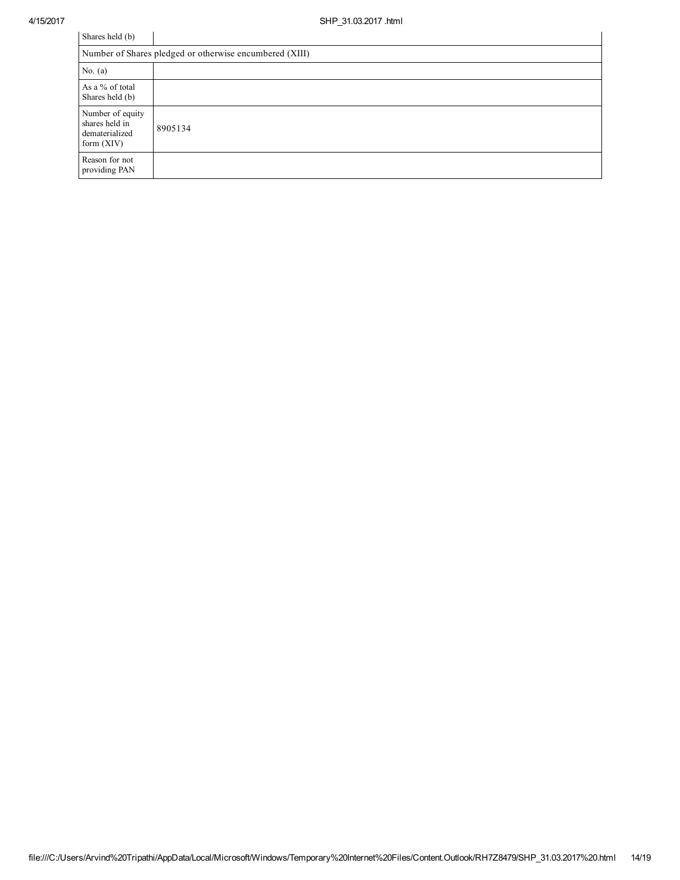| Shares held (b)                                                      |         |  |  |  |
|----------------------------------------------------------------------|---------|--|--|--|
| Number of Shares pledged or otherwise encumbered (XIII)              |         |  |  |  |
| No. $(a)$                                                            |         |  |  |  |
| As a % of total<br>Shares held (b)                                   |         |  |  |  |
| Number of equity<br>shares held in<br>dematerialized<br>form $(XIV)$ | 8905134 |  |  |  |
| Reason for not<br>providing PAN                                      |         |  |  |  |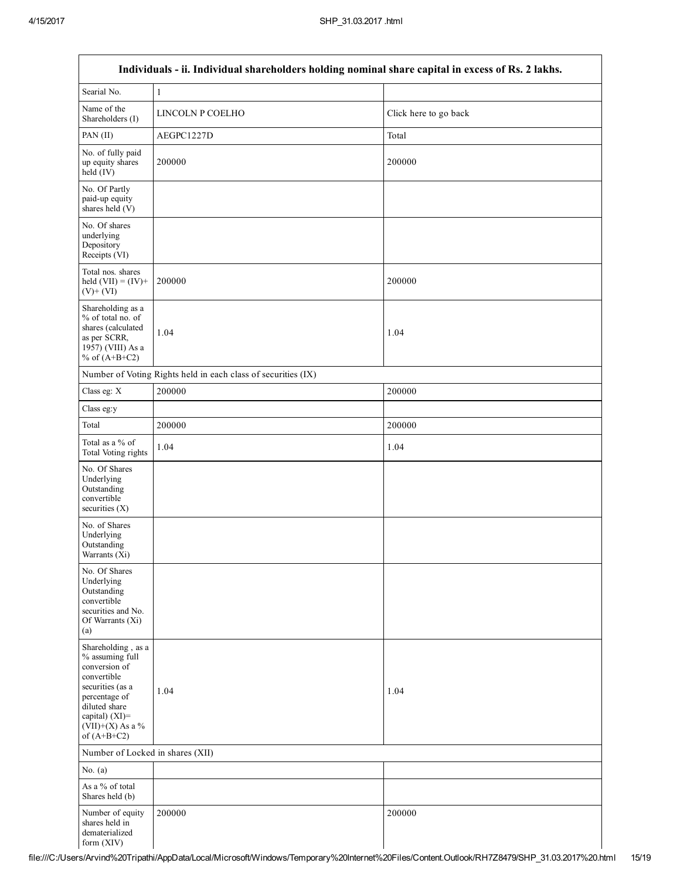| Individuals - ii. Individual shareholders holding nominal share capital in excess of Rs. 2 lakhs.                                                                                    |                                                               |                       |  |  |  |  |  |
|--------------------------------------------------------------------------------------------------------------------------------------------------------------------------------------|---------------------------------------------------------------|-----------------------|--|--|--|--|--|
| Searial No.                                                                                                                                                                          | $\,1\,$                                                       |                       |  |  |  |  |  |
| Name of the<br>Shareholders (I)                                                                                                                                                      | LINCOLN P COELHO                                              | Click here to go back |  |  |  |  |  |
| PAN (II)                                                                                                                                                                             | AEGPC1227D                                                    | Total                 |  |  |  |  |  |
| No. of fully paid<br>up equity shares<br>$\text{held}(\text{IV})$                                                                                                                    | 200000                                                        | 200000                |  |  |  |  |  |
| No. Of Partly<br>paid-up equity<br>shares held (V)                                                                                                                                   |                                                               |                       |  |  |  |  |  |
| No. Of shares<br>underlying<br>Depository<br>Receipts (VI)                                                                                                                           |                                                               |                       |  |  |  |  |  |
| Total nos. shares<br>held $(VII) = (IV) +$<br>$(V)$ + $(VI)$                                                                                                                         | 200000                                                        | 200000                |  |  |  |  |  |
| Shareholding as a<br>% of total no. of<br>shares (calculated<br>as per SCRR,<br>1957) (VIII) As a<br>% of $(A+B+C2)$                                                                 | 1.04                                                          | 1.04                  |  |  |  |  |  |
|                                                                                                                                                                                      | Number of Voting Rights held in each class of securities (IX) |                       |  |  |  |  |  |
| Class eg: X                                                                                                                                                                          | 200000                                                        | 200000                |  |  |  |  |  |
| Class eg:y                                                                                                                                                                           |                                                               |                       |  |  |  |  |  |
| Total                                                                                                                                                                                | 200000                                                        | 200000                |  |  |  |  |  |
| Total as a % of<br>Total Voting rights                                                                                                                                               | 1.04                                                          | 1.04                  |  |  |  |  |  |
| No. Of Shares<br>Underlying<br>Outstanding<br>convertible<br>securities $(X)$                                                                                                        |                                                               |                       |  |  |  |  |  |
| No. of Shares<br>Underlying<br>Outstanding<br>Warrants (Xi)                                                                                                                          |                                                               |                       |  |  |  |  |  |
| No. Of Shares<br>Underlying<br>Outstanding<br>convertible<br>securities and No.<br>Of Warrants (Xi)<br>(a)                                                                           |                                                               |                       |  |  |  |  |  |
| Shareholding, as a<br>% assuming full<br>conversion of<br>convertible<br>securities (as a<br>percentage of<br>diluted share<br>capital) (XI)=<br>$(VII)+(X)$ As a %<br>of $(A+B+C2)$ | 1.04                                                          | 1.04                  |  |  |  |  |  |
|                                                                                                                                                                                      | Number of Locked in shares (XII)                              |                       |  |  |  |  |  |
| No. $(a)$                                                                                                                                                                            |                                                               |                       |  |  |  |  |  |
| As a % of total<br>Shares held (b)                                                                                                                                                   |                                                               |                       |  |  |  |  |  |
| Number of equity<br>shares held in<br>dematerialized<br>form (XIV)                                                                                                                   | 200000                                                        | 200000                |  |  |  |  |  |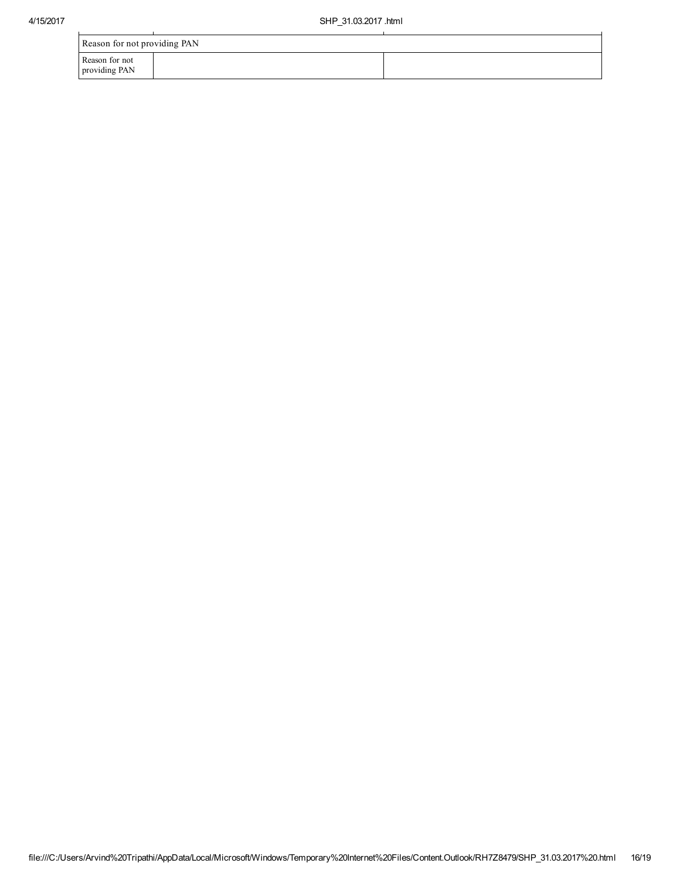| Reason for not providing PAN    |  |  |  |  |
|---------------------------------|--|--|--|--|
| Reason for not<br>providing PAN |  |  |  |  |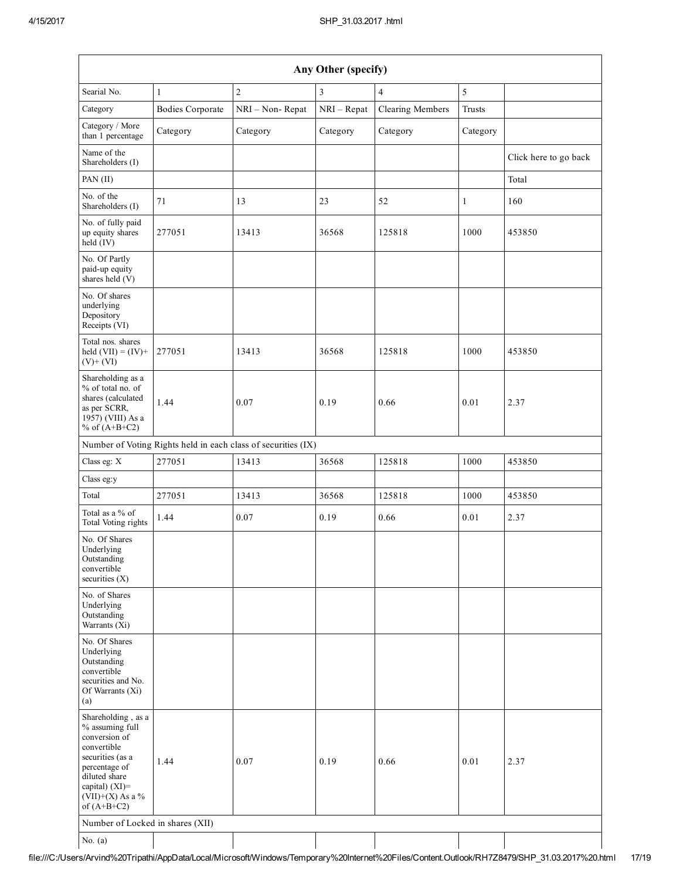| Any Other (specify)                                                                                                                                                                     |                         |                                                               |                |                         |          |                       |
|-----------------------------------------------------------------------------------------------------------------------------------------------------------------------------------------|-------------------------|---------------------------------------------------------------|----------------|-------------------------|----------|-----------------------|
| Searial No.                                                                                                                                                                             | $\mathbf{1}$            | $\overline{c}$                                                | $\mathfrak{Z}$ | $\overline{4}$          | 5        |                       |
| Category                                                                                                                                                                                | <b>Bodies Corporate</b> | NRI - Non-Repat                                               | NRI - Repat    | <b>Clearing Members</b> | Trusts   |                       |
| Category / More<br>than 1 percentage                                                                                                                                                    | Category                | Category                                                      | Category       | Category                | Category |                       |
| Name of the<br>Shareholders (I)                                                                                                                                                         |                         |                                                               |                |                         |          | Click here to go back |
| PAN(II)                                                                                                                                                                                 |                         |                                                               |                |                         |          | Total                 |
| No. of the<br>Shareholders (I)                                                                                                                                                          | 71                      | 13                                                            | 23             | 52                      | 1        | 160                   |
| No. of fully paid<br>up equity shares<br>held (IV)                                                                                                                                      | 277051                  | 13413                                                         | 36568          | 125818                  | 1000     | 453850                |
| No. Of Partly<br>paid-up equity<br>shares held (V)                                                                                                                                      |                         |                                                               |                |                         |          |                       |
| No. Of shares<br>underlying<br>Depository<br>Receipts (VI)                                                                                                                              |                         |                                                               |                |                         |          |                       |
| Total nos. shares<br>held $(VII) = (IV) +$<br>$(V)+(VI)$                                                                                                                                | 277051                  | 13413                                                         | 36568          | 125818                  | 1000     | 453850                |
| Shareholding as a<br>% of total no. of<br>shares (calculated<br>as per SCRR,<br>1957) (VIII) As a<br>% of $(A+B+C2)$                                                                    | 1.44                    | 0.07                                                          | 0.19           | 0.66                    | 0.01     | 2.37                  |
|                                                                                                                                                                                         |                         | Number of Voting Rights held in each class of securities (IX) |                |                         |          |                       |
| Class eg: X                                                                                                                                                                             | 277051                  | 13413                                                         | 36568          | 125818                  | 1000     | 453850                |
| Class eg:y                                                                                                                                                                              |                         |                                                               |                |                         |          |                       |
| Total                                                                                                                                                                                   | 277051                  | 13413                                                         | 36568          | 125818                  | 1000     | 453850                |
| Total as a % of<br>Total Voting rights                                                                                                                                                  | 1.44                    | 0.07                                                          | 0.19           | 0.66                    | 0.01     | 2.37                  |
| No. Of Shares<br>Underlying<br>Outstanding<br>convertible<br>securities $(X)$                                                                                                           |                         |                                                               |                |                         |          |                       |
| No. of Shares<br>Underlying<br>Outstanding<br>Warrants $(X_i)$                                                                                                                          |                         |                                                               |                |                         |          |                       |
| No. Of Shares<br>Underlying<br>Outstanding<br>convertible<br>securities and No.<br>Of Warrants (Xi)<br>(a)                                                                              |                         |                                                               |                |                         |          |                       |
| Shareholding, as a<br>% assuming full<br>conversion of<br>convertible<br>securities (as a<br>percentage of<br>diluted share<br>capital) $(XI)$ =<br>$(VII)+(X)$ As a %<br>of $(A+B+C2)$ | 1.44                    | 0.07                                                          | 0.19           | 0.66                    | 0.01     | 2.37                  |
| Number of Locked in shares (XII)                                                                                                                                                        |                         |                                                               |                |                         |          |                       |
| No. $(a)$                                                                                                                                                                               |                         |                                                               |                |                         |          |                       |